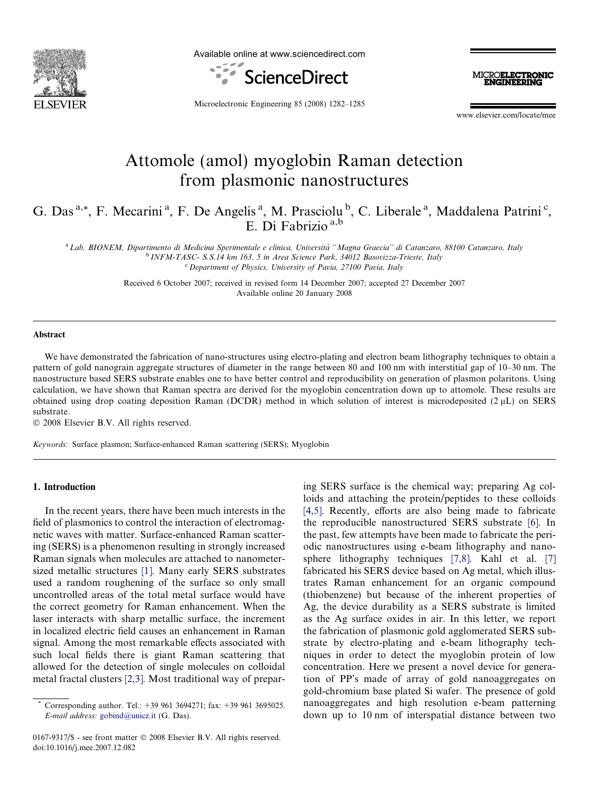

Available online at www.sciencedirect.com





Microelectronic Engineering 85 (2008) 1282–1285

www.elsevier.com/locate/mee

# Attomole (amol) myoglobin Raman detection from plasmonic nanostructures

G. Das<sup>a,\*</sup>, F. Mecarini<sup>a</sup>, F. De Angelis<sup>a</sup>, M. Prasciolu<sup>b</sup>, C. Liberale<sup>a</sup>, Maddalena Patrini<sup>c</sup>, E. Di Fabrizio a,b

a Lab. BIONEM, Dipartimento di Medicina Sperimentale e clinica, Università "Magna Graecia" di Catanzaro, 88100 Catanzaro, Italy <sup>b</sup> INFM-TASC- S.S.14 km 163, 5 in Area Science Park, 34012 Basovizza-Trieste, Italy <sup>c</sup> Department of Physics, University of Pavia, 27100 Pavia, Italy

> Received 6 October 2007; received in revised form 14 December 2007; accepted 27 December 2007 Available online 20 January 2008

#### Abstract

We have demonstrated the fabrication of nano-structures using electro-plating and electron beam lithography techniques to obtain a pattern of gold nanograin aggregate structures of diameter in the range between 80 and 100 nm with interstitial gap of 10–30 nm. The nanostructure based SERS substrate enables one to have better control and reproducibility on generation of plasmon polaritons. Using calculation, we have shown that Raman spectra are derived for the myoglobin concentration down up to attomole. These results are obtained using drop coating deposition Raman (DCDR) method in which solution of interest is microdeposited  $(2 \mu L)$  on SERS substrate.

© 2008 Elsevier B.V. All rights reserved.

Keywords: Surface plasmon; Surface-enhanced Raman scattering (SERS); Myoglobin

#### 1. Introduction

In the recent years, there have been much interests in the field of plasmonics to control the interaction of electromagnetic waves with matter. Surface-enhanced Raman scattering (SERS) is a phenomenon resulting in strongly increased Raman signals when molecules are attached to nanometersized metallic structures [\[1\]](#page-3-0). Many early SERS substrates used a random roughening of the surface so only small uncontrolled areas of the total metal surface would have the correct geometry for Raman enhancement. When the laser interacts with sharp metallic surface, the increment in localized electric field causes an enhancement in Raman signal. Among the most remarkable effects associated with such local fields there is giant Raman scattering that allowed for the detection of single molecules on colloidal metal fractal clusters [\[2,3\]](#page-3-0). Most traditional way of prepar-

0167-9317/\$ - see front matter © 2008 Elsevier B.V. All rights reserved. doi:10.1016/j.mee.2007.12.082

ing SERS surface is the chemical way; preparing Ag colloids and attaching the protein/peptides to these colloids [\[4,5\].](#page-3-0) Recently, efforts are also being made to fabricate the reproducible nanostructured SERS substrate [\[6\]](#page-3-0). In the past, few attempts have been made to fabricate the periodic nanostructures using e-beam lithography and nanosphere lithography techniques [\[7,8\].](#page-3-0) Kahl et al. [\[7\]](#page-3-0) fabricated his SERS device based on Ag metal, which illustrates Raman enhancement for an organic compound (thiobenzene) but because of the inherent properties of Ag, the device durability as a SERS substrate is limited as the Ag surface oxides in air. In this letter, we report the fabrication of plasmonic gold agglomerated SERS substrate by electro-plating and e-beam lithography techniques in order to detect the myoglobin protein of low concentration. Here we present a novel device for generation of PP's made of array of gold nanoaggregates on gold-chromium base plated Si wafer. The presence of gold nanoaggregates and high resolution e-beam patterning down up to 10 nm of interspatial distance between two

Corresponding author. Tel.: +39 961 3694271; fax: +39 961 3695025. E-mail address: [gobind@unicz.it](mailto:gobind@unicz.it) (G. Das).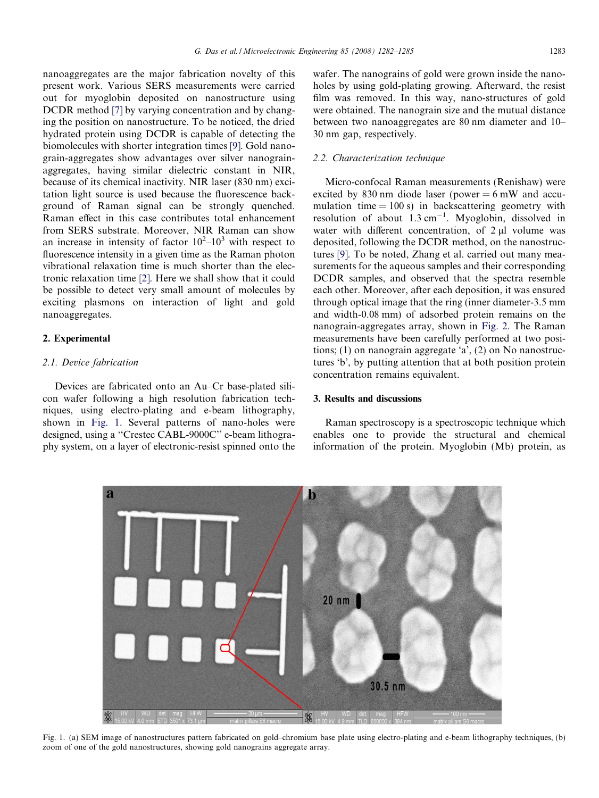nanoaggregates are the major fabrication novelty of this present work. Various SERS measurements were carried out for myoglobin deposited on nanostructure using DCDR method [\[7\]](#page-3-0) by varying concentration and by changing the position on nanostructure. To be noticed, the dried hydrated protein using DCDR is capable of detecting the biomolecules with shorter integration times [\[9\]](#page-3-0). Gold nanograin-aggregates show advantages over silver nanograinaggregates, having similar dielectric constant in NIR, because of its chemical inactivity. NIR laser (830 nm) excitation light source is used because the fluorescence background of Raman signal can be strongly quenched. Raman effect in this case contributes total enhancement from SERS substrate. Moreover, NIR Raman can show an increase in intensity of factor  $10^2 - 10^3$  with respect to fluorescence intensity in a given time as the Raman photon vibrational relaxation time is much shorter than the electronic relaxation time [\[2\].](#page-3-0) Here we shall show that it could be possible to detect very small amount of molecules by exciting plasmons on interaction of light and gold nanoaggregates.

# 2. Experimental

# 2.1. Device fabrication

Devices are fabricated onto an Au–Cr base-plated silicon wafer following a high resolution fabrication techniques, using electro-plating and e-beam lithography, shown in Fig. 1. Several patterns of nano-holes were designed, using a ''Crestec CABL-9000C'' e-beam lithography system, on a layer of electronic-resist spinned onto the wafer. The nanograins of gold were grown inside the nanoholes by using gold-plating growing. Afterward, the resist film was removed. In this way, nano-structures of gold were obtained. The nanograin size and the mutual distance between two nanoaggregates are 80 nm diameter and 10– 30 nm gap, respectively.

## 2.2. Characterization technique

Micro-confocal Raman measurements (Renishaw) were excited by 830 nm diode laser (power  $= 6$  mW and accumulation time  $= 100$  s) in backscattering geometry with resolution of about  $1.3 \text{ cm}^{-1}$ . Myoglobin, dissolved in water with different concentration, of  $2 \mu l$  volume was deposited, following the DCDR method, on the nanostructures [\[9\].](#page-3-0) To be noted, Zhang et al. carried out many measurements for the aqueous samples and their corresponding DCDR samples, and observed that the spectra resemble each other. Moreover, after each deposition, it was ensured through optical image that the ring (inner diameter-3.5 mm and width-0.08 mm) of adsorbed protein remains on the nanograin-aggregates array, shown in [Fig. 2.](#page-2-0) The Raman measurements have been carefully performed at two positions; (1) on nanograin aggregate 'a', (2) on No nanostructures 'b', by putting attention that at both position protein concentration remains equivalent.

## 3. Results and discussions

Raman spectroscopy is a spectroscopic technique which enables one to provide the structural and chemical information of the protein. Myoglobin (Mb) protein, as



Fig. 1. (a) SEM image of nanostructures pattern fabricated on gold–chromium base plate using electro-plating and e-beam lithography techniques, (b) zoom of one of the gold nanostructures, showing gold nanograins aggregate array.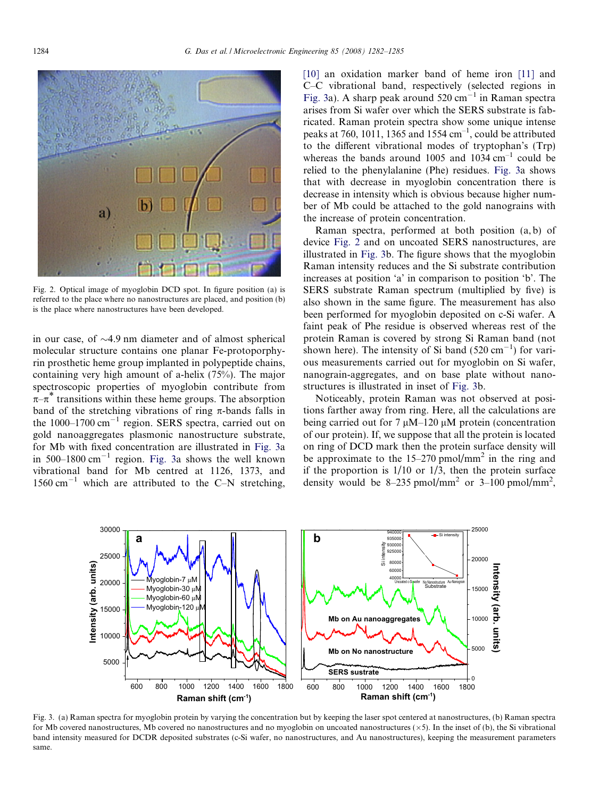<span id="page-2-0"></span>

Fig. 2. Optical image of myoglobin DCD spot. In figure position (a) is referred to the place where no nanostructures are placed, and position (b) is the place where nanostructures have been developed.

in our case, of  $\sim$ 4.9 nm diameter and of almost spherical molecular structure contains one planar Fe-protoporphyrin prosthetic heme group implanted in polypeptide chains, containing very high amount of a-helix (75%). The major spectroscopic properties of myoglobin contribute from  $\pi-\pi$ <sup>\*</sup> transitions within these heme groups. The absorption band of the stretching vibrations of ring  $\pi$ -bands falls in the 1000–1700 cm-<sup>1</sup> region. SERS spectra, carried out on gold nanoaggregates plasmonic nanostructure substrate, for Mb with fixed concentration are illustrated in Fig. 3a in  $500-1800$  cm<sup>-1</sup> region. Fig. 3a shows the well known vibrational band for Mb centred at 1126, 1373, and 1560 cm<sup>-1</sup> which are attributed to the C-N stretching,

[\[10\]](#page-3-0) an oxidation marker band of heme iron [\[11\]](#page-3-0) and C–C vibrational band, respectively (selected regions in Fig. 3a). A sharp peak around  $520 \text{ cm}^{-1}$  in Raman spectra arises from Si wafer over which the SERS substrate is fabricated. Raman protein spectra show some unique intense peaks at 760, 1011, 1365 and 1554  $cm^{-1}$ , could be attributed to the different vibrational modes of tryptophan's (Trp) whereas the bands around 1005 and  $1034 \text{ cm}^{-1}$  could be relied to the phenylalanine (Phe) residues. Fig. 3a shows that with decrease in myoglobin concentration there is decrease in intensity which is obvious because higher number of Mb could be attached to the gold nanograins with the increase of protein concentration.

Raman spectra, performed at both position (a, b) of device Fig. 2 and on uncoated SERS nanostructures, are illustrated in Fig. 3b. The figure shows that the myoglobin Raman intensity reduces and the Si substrate contribution increases at position 'a' in comparison to position 'b'. The SERS substrate Raman spectrum (multiplied by five) is also shown in the same figure. The measurement has also been performed for myoglobin deposited on c-Si wafer. A faint peak of Phe residue is observed whereas rest of the protein Raman is covered by strong Si Raman band (not shown here). The intensity of Si band  $(520 \text{ cm}^{-1})$  for various measurements carried out for myoglobin on Si wafer, nanograin-aggregates, and on base plate without nanostructures is illustrated in inset of Fig. 3b.

Noticeably, protein Raman was not observed at positions farther away from ring. Here, all the calculations are being carried out for  $7 \mu M$ –120  $\mu$ M protein (concentration of our protein). If, we suppose that all the protein is located on ring of DCD mark then the protein surface density will be approximate to the  $15-270$  pmol/mm<sup>2</sup> in the ring and if the proportion is  $1/10$  or  $1/3$ , then the protein surface density would be  $8-235$  pmol/mm<sup>2</sup> or  $3-100$  pmol/mm<sup>2</sup>,



Fig. 3. (a) Raman spectra for myoglobin protein by varying the concentration but by keeping the laser spot centered at nanostructures, (b) Raman spectra for Mb covered nanostructures, Mb covered no nanostructures and no myoglobin on uncoated nanostructures  $(x5)$ . In the inset of (b), the Si vibrational band intensity measured for DCDR deposited substrates (c-Si wafer, no nanostructures, and Au nanostructures), keeping the measurement parameters same.